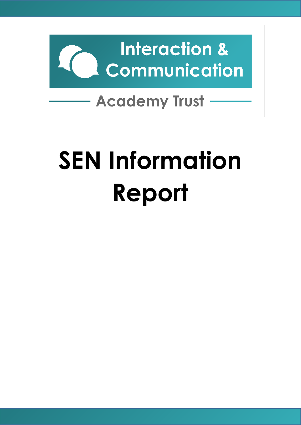

## **SEN Information Report**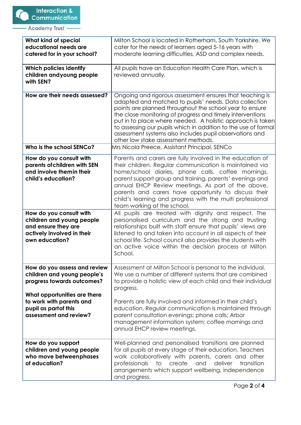| What kind of special<br>educational needs are<br>catered for in your school?                                                | Milton School is located in Rotherham, South Yorkshire. We<br>cater for the needs of learners aged 5-16 years with<br>moderate learning difficulties, ASD and complex needs.                                                                                                                                                                                                                                                                                                |
|-----------------------------------------------------------------------------------------------------------------------------|-----------------------------------------------------------------------------------------------------------------------------------------------------------------------------------------------------------------------------------------------------------------------------------------------------------------------------------------------------------------------------------------------------------------------------------------------------------------------------|
| Which policies identify<br>children andyoung people<br>with SEN?                                                            | All pupils have an Education Health Care Plan, which is<br>reviewed annually.                                                                                                                                                                                                                                                                                                                                                                                               |
| How are their needs assessed?                                                                                               | Ongoing and rigorous assessment ensures that teaching is<br>adapted and matched to pupils' needs. Data collection<br>points are planned throughout the school year to ensure<br>the close monitoring of progress and timely interventions<br>put in to place where needed. A holistic approach is taken<br>to assessing our pupils which in addition to the use of formal<br>assessment systems also includes pupil observations and<br>other low stake assessment methods. |
| Who is the school SENCo?                                                                                                    | Mrs Nicola Preece, Assistant Principal, SENCo                                                                                                                                                                                                                                                                                                                                                                                                                               |
| How do you consult with<br>parents of children with SEN<br>and involve themin their<br>child's education?                   | Parents and carers are fully involved in the education of<br>their children. Regular communication is maintained via<br>home/school diaries, phone calls, coffee mornings,<br>parent support group and training, parents' evenings and<br>annual EHCP Review meetings. As part of the above,<br>parents and carers have opportunity to discuss their<br>child's learning and progress with the multi professional<br>team working at the school.                            |
| How do you consult with<br>children and young people<br>and ensure they are<br>actively involved in their<br>own education? | All pupils are treated with dignity and respect. The<br>personalised curriculum and the strong and trusting<br>relationships built with staff ensure that pupils' views are<br>listened to and taken into account in all aspects of their<br>school life. School council also provides the students with<br>an active voice within the decision process at Milton<br>School.                                                                                                |
| How do you assess and review<br>children and young people's<br>progress towards outcomes?<br>What opportunities are there   | Assessment at Milton School is personal to the individual.<br>We use a number of different systems that are combined<br>to provide a holistic view of each child and their individual<br>progress.                                                                                                                                                                                                                                                                          |
| to work with parents and<br>pupil as partof this<br>assessment and review?                                                  | Parents are fully involved and informed in their child's<br>education. Regular communication is maintained through<br>parent consultation evenings; phone calls; Arbor<br>management information system; coffee mornings and<br>annual EHCP review meetings.                                                                                                                                                                                                                |
| How do you support<br>children and young people<br>who move betweenphases<br>of education?                                  | Well-planned and personalised transitions are planned<br>for all pupils at every stage of their education. Teachers<br>work collaboratively with parents, carers and other<br>deliver<br>professionals<br>to<br>create<br>and<br>transition<br>arrangements which support wellbeing, independence<br>and progress.                                                                                                                                                          |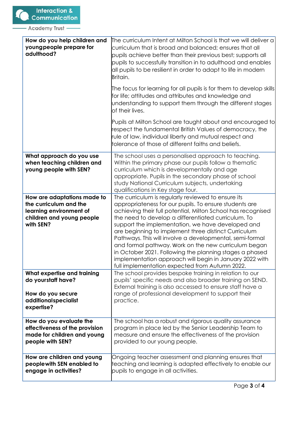| How do you help children and<br>young people prepare for<br>adulthood?                                                     | The curriculum Intent at Milton School is that we will deliver a<br>curriculum that is broad and balanced; ensures that all<br>pupils achieve better than their previous best; supports all<br>pupils to successfully transition in to adulthood and enables<br>all pupils to be resilient in order to adapt to life in modern<br>Britain.                                                                                                                                                                                                                                                                                                   |
|----------------------------------------------------------------------------------------------------------------------------|----------------------------------------------------------------------------------------------------------------------------------------------------------------------------------------------------------------------------------------------------------------------------------------------------------------------------------------------------------------------------------------------------------------------------------------------------------------------------------------------------------------------------------------------------------------------------------------------------------------------------------------------|
|                                                                                                                            | The focus for learning for all pupils is for them to develop skills<br>for life; attitudes and attributes and knowledge and<br>understanding to support them through the different stages<br>of their lives.                                                                                                                                                                                                                                                                                                                                                                                                                                 |
|                                                                                                                            | Pupils at Milton School are taught about and encouraged to<br>respect the fundamental British Values of democracy, the<br>rule of law, individual liberty and mutual respect and<br>tolerance of those of different faiths and beliefs.                                                                                                                                                                                                                                                                                                                                                                                                      |
| What approach do you use<br>when teaching children and<br>young people with SEN?                                           | The school uses a personalised approach to teaching.<br>Within the primary phase our pupils follow a thematic<br>curriculum which is developmentally and age<br>appropriate. Pupils in the secondary phase of school<br>study National Curriculum subjects, undertaking<br>qualifications in Key stage four.                                                                                                                                                                                                                                                                                                                                 |
| How are adaptations made to<br>the curriculum and the<br>learning environment of<br>children and young people<br>with SEN? | The curriculum is regularly reviewed to ensure its<br>appropriateness for our pupils. To ensure students are<br>achieving their full potential, Milton School has recognised<br>the need to develop a differentiated curriculum. To<br>support the implementation, we have developed and<br>are beginning to implement three distinct Curriculum<br>Pathways. This will involve a developmental, semi-formal<br>and formal pathway. Work on the new curriculum began<br>in October 2021. Following the planning stages a phased<br>implementation approach will begin in January 2022 with<br>full implementation expected from Autumn 2022. |
| What expertise and training<br>do yourstaff have?<br>How do you secure<br>additionalspecialist<br>expertise?               | The school provides bespoke training in relation to our<br>pupils' specific needs and also broader training on SEND.<br>External training is also accessed to ensure staff have a<br>range of professional development to support their<br>practice.                                                                                                                                                                                                                                                                                                                                                                                         |
| How do you evaluate the<br>effectiveness of the provision<br>made for children and young<br>people with SEN?               | The school has a robust and rigorous quality assurance<br>program in place led by the Senior Leadership Team to<br>measure and ensure the effectiveness of the provision<br>provided to our young people.                                                                                                                                                                                                                                                                                                                                                                                                                                    |
| How are children and young<br>peoplewith SEN enabled to<br>engage in activities?                                           | Ongoing teacher assessment and planning ensures that<br>teaching and learning is adapted effectively to enable our<br>pupils to engage in all activities.                                                                                                                                                                                                                                                                                                                                                                                                                                                                                    |